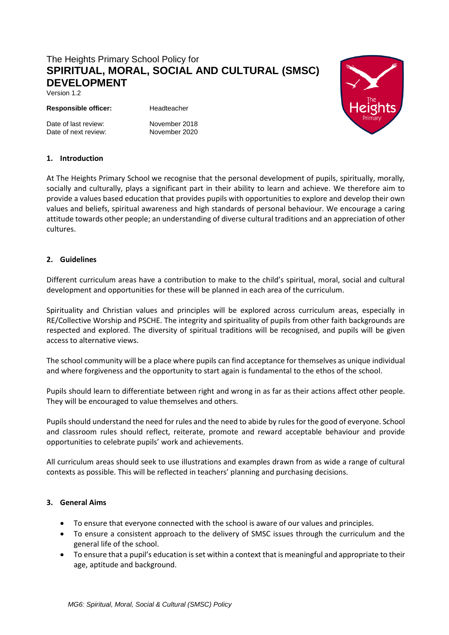# The Heights Primary School Policy for **SPIRITUAL, MORAL, SOCIAL AND CULTURAL (SMSC) DEVELOPMENT**

Version 1.2

#### **Responsible officer:** Headteacher

Date of last review:<br>
Date of next review:<br>
November 2020 Date of next review:

# **1. Introduction**

At The Heights Primary School we recognise that the personal development of pupils, spiritually, morally, socially and culturally, plays a significant part in their ability to learn and achieve. We therefore aim to provide a values based education that provides pupils with opportunities to explore and develop their own values and beliefs, spiritual awareness and high standards of personal behaviour. We encourage a caring attitude towards other people; an understanding of diverse cultural traditions and an appreciation of other cultures.

# **2. Guidelines**

Different curriculum areas have a contribution to make to the child's spiritual, moral, social and cultural development and opportunities for these will be planned in each area of the curriculum.

Spirituality and Christian values and principles will be explored across curriculum areas, especially in RE/Collective Worship and PSCHE. The integrity and spirituality of pupils from other faith backgrounds are respected and explored. The diversity of spiritual traditions will be recognised, and pupils will be given access to alternative views.

The school community will be a place where pupils can find acceptance for themselves as unique individual and where forgiveness and the opportunity to start again is fundamental to the ethos of the school.

Pupils should learn to differentiate between right and wrong in as far as their actions affect other people. They will be encouraged to value themselves and others.

Pupils should understand the need for rules and the need to abide by rules for the good of everyone. School and classroom rules should reflect, reiterate, promote and reward acceptable behaviour and provide opportunities to celebrate pupils' work and achievements.

All curriculum areas should seek to use illustrations and examples drawn from as wide a range of cultural contexts as possible. This will be reflected in teachers' planning and purchasing decisions.

# **3. General Aims**

- To ensure that everyone connected with the school is aware of our values and principles.
- To ensure a consistent approach to the delivery of SMSC issues through the curriculum and the general life of the school.
- To ensure that a pupil's education is set within a context that is meaningful and appropriate to their age, aptitude and background.

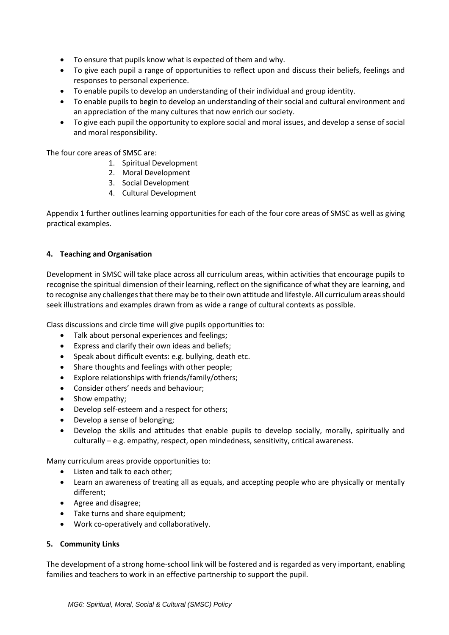- To ensure that pupils know what is expected of them and why.
- To give each pupil a range of opportunities to reflect upon and discuss their beliefs, feelings and responses to personal experience.
- To enable pupils to develop an understanding of their individual and group identity.
- To enable pupils to begin to develop an understanding of their social and cultural environment and an appreciation of the many cultures that now enrich our society.
- To give each pupil the opportunity to explore social and moral issues, and develop a sense of social and moral responsibility.

The four core areas of SMSC are:

- 1. Spiritual Development
- 2. Moral Development
- 3. Social Development
- 4. Cultural Development

Appendix 1 further outlines learning opportunities for each of the four core areas of SMSC as well as giving practical examples.

# **4. Teaching and Organisation**

Development in SMSC will take place across all curriculum areas, within activities that encourage pupils to recognise the spiritual dimension of their learning, reflect on the significance of what they are learning, and to recognise any challenges that there may be to their own attitude and lifestyle. All curriculum areas should seek illustrations and examples drawn from as wide a range of cultural contexts as possible.

Class discussions and circle time will give pupils opportunities to:

- Talk about personal experiences and feelings;
- Express and clarify their own ideas and beliefs;
- Speak about difficult events: e.g. bullying, death etc.
- Share thoughts and feelings with other people;
- Explore relationships with friends/family/others;
- Consider others' needs and behaviour;
- Show empathy;
- Develop self-esteem and a respect for others;
- Develop a sense of belonging;
- Develop the skills and attitudes that enable pupils to develop socially, morally, spiritually and culturally – e.g. empathy, respect, open mindedness, sensitivity, critical awareness.

Many curriculum areas provide opportunities to:

- Listen and talk to each other;
- Learn an awareness of treating all as equals, and accepting people who are physically or mentally different;
- Agree and disagree;
- Take turns and share equipment;
- Work co-operatively and collaboratively.

#### **5. Community Links**

The development of a strong home-school link will be fostered and is regarded as very important, enabling families and teachers to work in an effective partnership to support the pupil.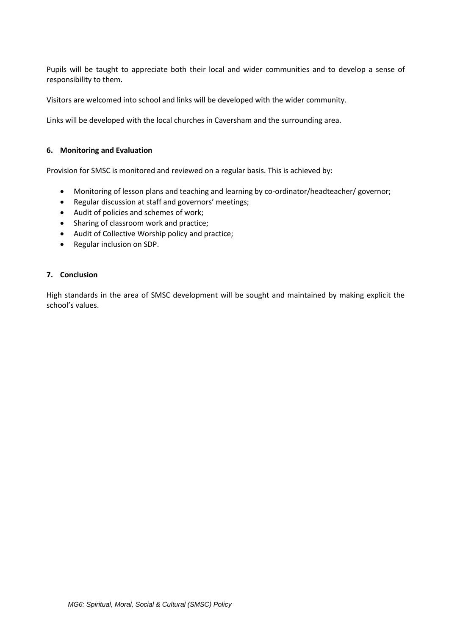Pupils will be taught to appreciate both their local and wider communities and to develop a sense of responsibility to them.

Visitors are welcomed into school and links will be developed with the wider community.

Links will be developed with the local churches in Caversham and the surrounding area.

#### **6. Monitoring and Evaluation**

Provision for SMSC is monitored and reviewed on a regular basis. This is achieved by:

- Monitoring of lesson plans and teaching and learning by co-ordinator/headteacher/ governor;
- Regular discussion at staff and governors' meetings;
- Audit of policies and schemes of work;
- Sharing of classroom work and practice;
- Audit of Collective Worship policy and practice;
- Regular inclusion on SDP.

# **7. Conclusion**

High standards in the area of SMSC development will be sought and maintained by making explicit the school's values.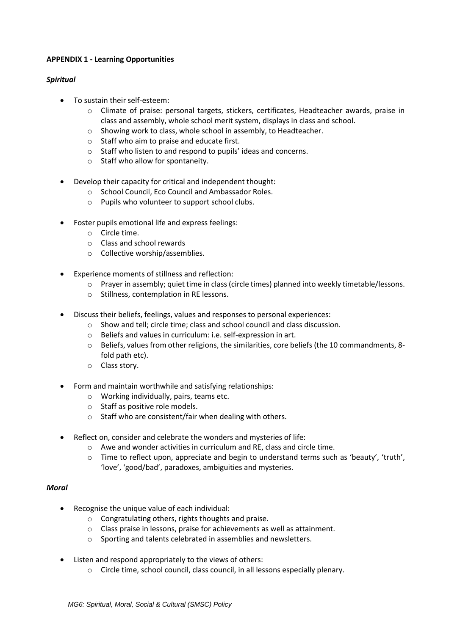# **APPENDIX 1 - Learning Opportunities**

#### *Spiritual*

- To sustain their self-esteem:
	- o Climate of praise: personal targets, stickers, certificates, Headteacher awards, praise in class and assembly, whole school merit system, displays in class and school.
	- o Showing work to class, whole school in assembly, to Headteacher.
	- o Staff who aim to praise and educate first.
	- o Staff who listen to and respond to pupils' ideas and concerns.
	- o Staff who allow for spontaneity.
- Develop their capacity for critical and independent thought:
	- o School Council, Eco Council and Ambassador Roles.
	- o Pupils who volunteer to support school clubs.
- Foster pupils emotional life and express feelings:
	- o Circle time.
	- o Class and school rewards
	- o Collective worship/assemblies.
- Experience moments of stillness and reflection:
	- o Prayer in assembly; quiet time in class (circle times) planned into weekly timetable/lessons.
	- o Stillness, contemplation in RE lessons.
- Discuss their beliefs, feelings, values and responses to personal experiences:
	- o Show and tell; circle time; class and school council and class discussion.
	- o Beliefs and values in curriculum: i.e. self-expression in art.
	- $\circ$  Beliefs, values from other religions, the similarities, core beliefs (the 10 commandments, 8fold path etc).
	- o Class story.
- Form and maintain worthwhile and satisfying relationships:
	- o Working individually, pairs, teams etc.
	- o Staff as positive role models.
	- o Staff who are consistent/fair when dealing with others.
- Reflect on, consider and celebrate the wonders and mysteries of life:
	- o Awe and wonder activities in curriculum and RE, class and circle time.
	- o Time to reflect upon, appreciate and begin to understand terms such as 'beauty', 'truth', 'love', 'good/bad', paradoxes, ambiguities and mysteries.

#### *Moral*

- Recognise the unique value of each individual:
	- o Congratulating others, rights thoughts and praise.
	- o Class praise in lessons, praise for achievements as well as attainment.
	- o Sporting and talents celebrated in assemblies and newsletters.
- Listen and respond appropriately to the views of others:
	- o Circle time, school council, class council, in all lessons especially plenary.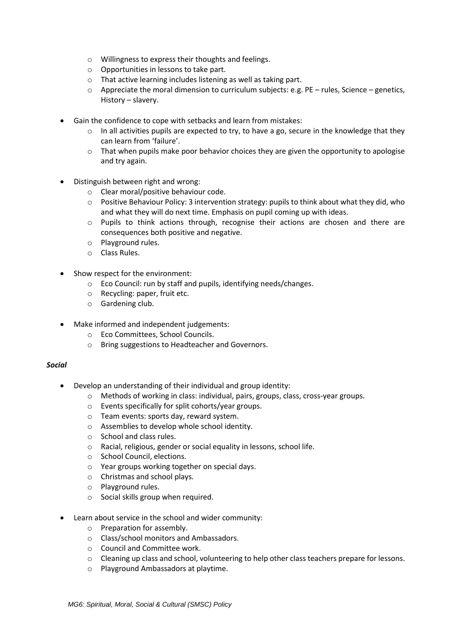- o Willingness to express their thoughts and feelings.
- o Opportunities in lessons to take part.
- o That active learning includes listening as well as taking part.
- o Appreciate the moral dimension to curriculum subjects: e.g. PE rules, Science genetics, History – slavery.
- Gain the confidence to cope with setbacks and learn from mistakes:
	- $\circ$  In all activities pupils are expected to try, to have a go, secure in the knowledge that they can learn from 'failure'.
	- $\circ$  That when pupils make poor behavior choices they are given the opportunity to apologise and try again.
- Distinguish between right and wrong:
	- o Clear moral/positive behaviour code.
	- o Positive Behaviour Policy: 3 intervention strategy: pupils to think about what they did, who and what they will do next time. Emphasis on pupil coming up with ideas.
	- $\circ$  Pupils to think actions through, recognise their actions are chosen and there are consequences both positive and negative.
	- o Playground rules.
	- o Class Rules.
- Show respect for the environment:
	- o Eco Council: run by staff and pupils, identifying needs/changes.
	- o Recycling: paper, fruit etc.
	- o Gardening club.
- Make informed and independent judgements:
	- o Eco Committees, School Councils.
	- o Bring suggestions to Headteacher and Governors.

#### *Social*

- Develop an understanding of their individual and group identity:
	- o Methods of working in class: individual, pairs, groups, class, cross-year groups.
	- o Events specifically for split cohorts/year groups.
	- o Team events: sports day, reward system.
	- o Assemblies to develop whole school identity.
	- o School and class rules.
	- o Racial, religious, gender or social equality in lessons, school life.
	- o School Council, elections.
	- o Year groups working together on special days.
	- o Christmas and school plays.
	- o Playground rules.
	- o Social skills group when required.
- Learn about service in the school and wider community:
	- o Preparation for assembly.
	- o Class/school monitors and Ambassadors.
	- o Council and Committee work.
	- o Cleaning up class and school, volunteering to help other class teachers prepare for lessons.
	- o Playground Ambassadors at playtime.